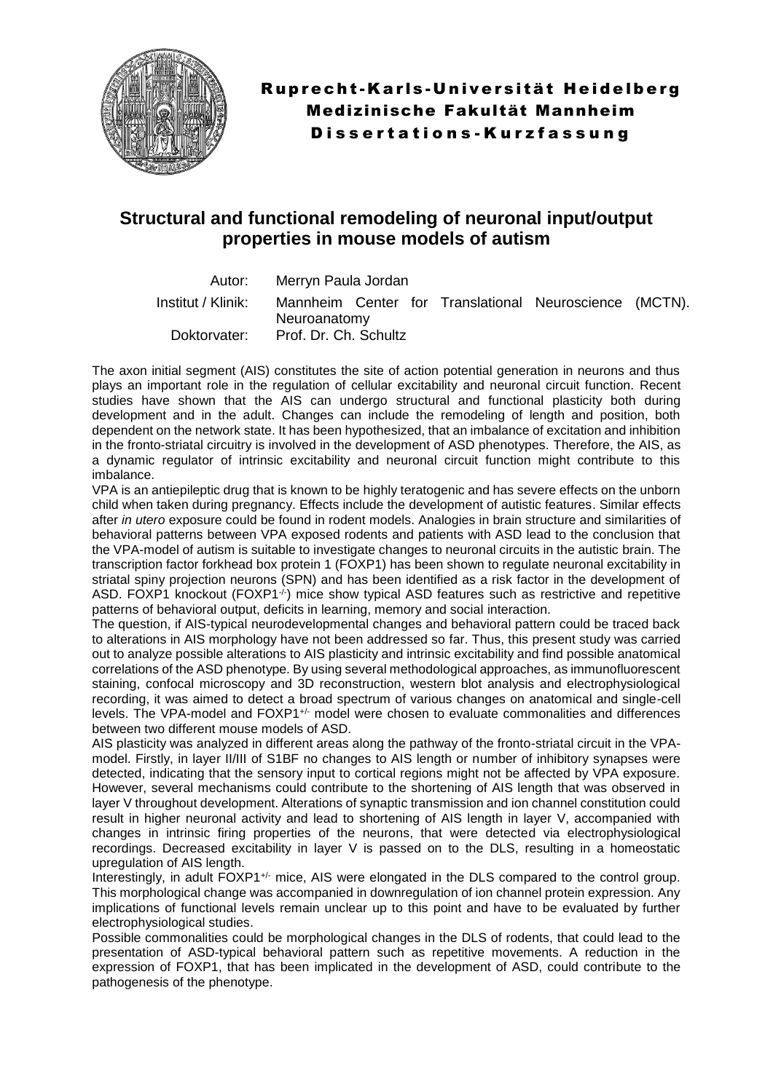

## **Structural and functional remodeling of neuronal input/output properties in mouse models of autism**

Autor: Merryn Paula Jordan Institut / Klinik: Mannheim Center for Translational Neuroscience (MCTN). Neuroanatomy Doktorvater: Prof. Dr. Ch. Schultz

The axon initial segment (AIS) constitutes the site of action potential generation in neurons and thus plays an important role in the regulation of cellular excitability and neuronal circuit function. Recent studies have shown that the AIS can undergo structural and functional plasticity both during development and in the adult. Changes can include the remodeling of length and position, both dependent on the network state. It has been hypothesized, that an imbalance of excitation and inhibition in the fronto-striatal circuitry is involved in the development of ASD phenotypes. Therefore, the AIS, as a dynamic regulator of intrinsic excitability and neuronal circuit function might contribute to this imbalance.

VPA is an antiepileptic drug that is known to be highly teratogenic and has severe effects on the unborn child when taken during pregnancy. Effects include the development of autistic features. Similar effects after *in utero* exposure could be found in rodent models. Analogies in brain structure and similarities of behavioral patterns between VPA exposed rodents and patients with ASD lead to the conclusion that the VPA-model of autism is suitable to investigate changes to neuronal circuits in the autistic brain. The transcription factor forkhead box protein 1 (FOXP1) has been shown to regulate neuronal excitability in striatal spiny projection neurons (SPN) and has been identified as a risk factor in the development of ASD. FOXP1 knockout (FOXP1<sup>./.</sup>) mice show typical ASD features such as restrictive and repetitive patterns of behavioral output, deficits in learning, memory and social interaction.

The question, if AIS-typical neurodevelopmental changes and behavioral pattern could be traced back to alterations in AIS morphology have not been addressed so far. Thus, this present study was carried out to analyze possible alterations to AIS plasticity and intrinsic excitability and find possible anatomical correlations of the ASD phenotype. By using several methodological approaches, as immunofluorescent staining, confocal microscopy and 3D reconstruction, western blot analysis and electrophysiological recording, it was aimed to detect a broad spectrum of various changes on anatomical and single-cell levels. The VPA-model and FOXP1<sup>+/-</sup> model were chosen to evaluate commonalities and differences between two different mouse models of ASD.

AIS plasticity was analyzed in different areas along the pathway of the fronto-striatal circuit in the VPAmodel. Firstly, in layer II/III of S1BF no changes to AIS length or number of inhibitory synapses were detected, indicating that the sensory input to cortical regions might not be affected by VPA exposure. However, several mechanisms could contribute to the shortening of AIS length that was observed in layer V throughout development. Alterations of synaptic transmission and ion channel constitution could result in higher neuronal activity and lead to shortening of AIS length in layer V, accompanied with changes in intrinsic firing properties of the neurons, that were detected via electrophysiological recordings. Decreased excitability in layer V is passed on to the DLS, resulting in a homeostatic upregulation of AIS length.

Interestingly, in adult FOXP1<sup>+/-</sup> mice. AIS were elongated in the DLS compared to the control group. This morphological change was accompanied in downregulation of ion channel protein expression. Any implications of functional levels remain unclear up to this point and have to be evaluated by further electrophysiological studies.

Possible commonalities could be morphological changes in the DLS of rodents, that could lead to the presentation of ASD-typical behavioral pattern such as repetitive movements. A reduction in the expression of FOXP1, that has been implicated in the development of ASD, could contribute to the pathogenesis of the phenotype.